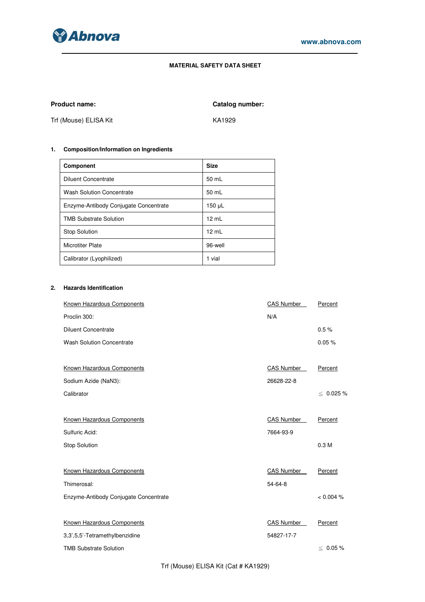

# **MATERIAL SAFETY DATA SHEET**

Product name: **Catalog number: Catalog number:** 

Trf (Mouse) ELISA Kit KA1929

# **1. Composition/Information on Ingredients**

| <b>Component</b>                      | <b>Size</b>     |
|---------------------------------------|-----------------|
| Diluent Concentrate                   | 50 mL           |
| <b>Wash Solution Concentrate</b>      | 50 mL           |
| Enzyme-Antibody Conjugate Concentrate | 150 µL          |
| <b>TMB Substrate Solution</b>         | $12 \text{ ml}$ |
| <b>Stop Solution</b>                  | 12 mL           |
| <b>Microtiter Plate</b>               | 96-well         |
| Calibrator (Lyophilized)              | 1 vial          |

# **2. Hazards Identification**

| Known Hazardous Components            | <b>CAS Number</b> | Percent          |
|---------------------------------------|-------------------|------------------|
| Proclin 300:                          | N/A               |                  |
| <b>Diluent Concentrate</b>            |                   | 0.5%             |
| <b>Wash Solution Concentrate</b>      |                   | 0.05%            |
|                                       |                   |                  |
| Known Hazardous Components            | <b>CAS Number</b> | Percent          |
| Sodium Azide (NaN3):                  | 26628-22-8        |                  |
| Calibrator                            |                   | $\leq 0.025 \%$  |
|                                       |                   |                  |
| Known Hazardous Components            | <b>CAS Number</b> | Percent          |
| Sulfuric Acid:                        | 7664-93-9         |                  |
| <b>Stop Solution</b>                  |                   | 0.3 <sub>M</sub> |
|                                       |                   |                  |
| Known Hazardous Components            | <b>CAS Number</b> | Percent          |
| Thimerosal:                           | 54-64-8           |                  |
| Enzyme-Antibody Conjugate Concentrate |                   | < 0.004 %        |
|                                       |                   |                  |
| Known Hazardous Components            | <b>CAS Number</b> | Percent          |
| 3,3',5,5'-Tetramethylbenzidine        | 54827-17-7        |                  |
| <b>TMB Substrate Solution</b>         |                   | $\leq 0.05 \%$   |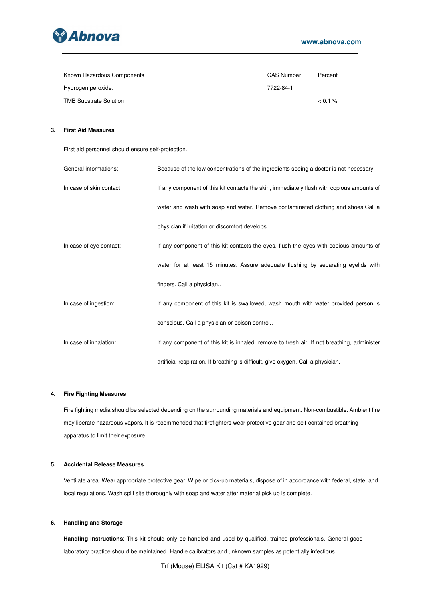

| Known Hazardous Components    | <b>CAS Number</b> | Percent |
|-------------------------------|-------------------|---------|
| Hydrogen peroxide:            | 7722-84-1         |         |
| <b>TMB Substrate Solution</b> |                   | $0.1\%$ |

# **3. First Aid Measures**

First aid personnel should ensure self-protection.

| General informations:    | Because of the low concentrations of the ingredients seeing a doctor is not necessary.     |
|--------------------------|--------------------------------------------------------------------------------------------|
| In case of skin contact: | If any component of this kit contacts the skin, immediately flush with copious amounts of  |
|                          | water and wash with soap and water. Remove contaminated clothing and shoes. Call a         |
|                          | physician if irritation or discomfort develops.                                            |
| In case of eye contact:  | If any component of this kit contacts the eyes, flush the eyes with copious amounts of     |
|                          | water for at least 15 minutes. Assure adequate flushing by separating eyelids with         |
|                          | fingers. Call a physician                                                                  |
| In case of ingestion:    | If any component of this kit is swallowed, wash mouth with water provided person is        |
|                          | conscious. Call a physician or poison control                                              |
| In case of inhalation:   | If any component of this kit is inhaled, remove to fresh air. If not breathing, administer |
|                          | artificial respiration. If breathing is difficult, give oxygen. Call a physician.          |

## **4. Fire Fighting Measures**

Fire fighting media should be selected depending on the surrounding materials and equipment. Non-combustible. Ambient fire may liberate hazardous vapors. It is recommended that firefighters wear protective gear and self-contained breathing apparatus to limit their exposure.

## **5. Accidental Release Measures**

Ventilate area. Wear appropriate protective gear. Wipe or pick-up materials, dispose of in accordance with federal, state, and local regulations. Wash spill site thoroughly with soap and water after material pick up is complete.

# **6. Handling and Storage**

**Handling instructions**: This kit should only be handled and used by qualified, trained professionals. General good laboratory practice should be maintained. Handle calibrators and unknown samples as potentially infectious.

Trf (Mouse) ELISA Kit (Cat # KA1929)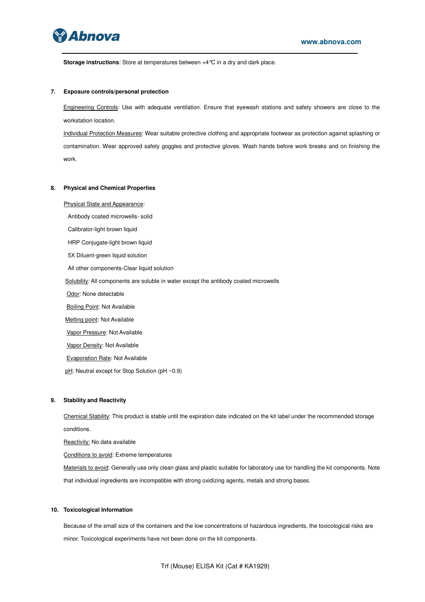

**Storage instructions**: Store at temperatures between +4°C in a dry and dark place.

#### **7. Exposure controls/personal protection**

Engineering Controls: Use with adequate ventilation. Ensure that eyewash stations and safety showers are close to the workstation location.

Individual Protection Measures: Wear suitable protective clothing and appropriate footwear as protection against splashing or contamination. Wear approved safety goggles and protective gloves. Wash hands before work breaks and on finishing the work.

#### **8. Physical and Chemical Properties**

Physical State and Appearance:

Antibody coated microwells- solid

Calibrator-light brown liquid

HRP Conjugate-light brown liquid

5X Diluent-green liquid solution

All other components-Clear liquid solution

Solubility: All components are soluble in water except the antibody coated microwells

Odor: None detectable

**Boiling Point: Not Available** 

Melting point: Not Available

Vapor Pressure: Not Available

Vapor Density: Not Available

Evaporation Rate: Not Available

pH: Neutral except for Stop Solution (pH ~0.9)

### **9. Stability and Reactivity**

Chemical Stability: This product is stable until the expiration date indicated on the kit label under the recommended storage conditions.

Reactivity: No data available

Conditions to avoid: Extreme temperatures

Materials to avoid: Generally use only clean glass and plastic suitable for laboratory use for handling the kit components. Note that individual ingredients are incompatible with strong oxidizing agents, metals and strong bases.

#### **10. Toxicological Information**

Because of the small size of the containers and the low concentrations of hazardous ingredients, the toxicological risks are minor. Toxicological experiments have not been done on the kit components.